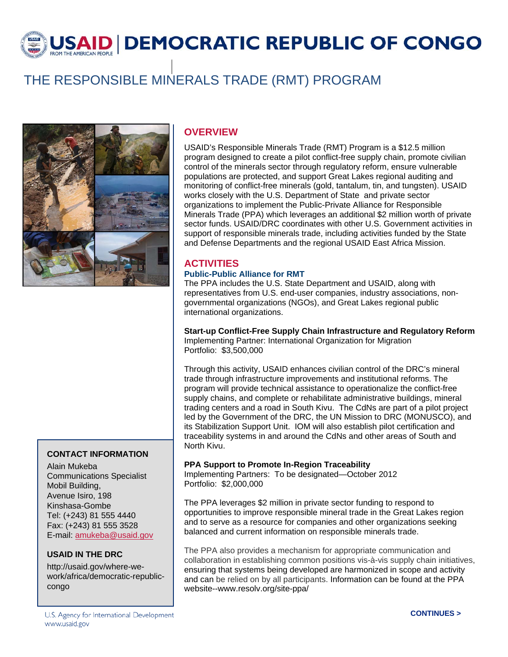USAID DEMOCRATIC REPUBLIC OF CONGO

# THE RESPONSIBLE MINERALS TRADE (RMT) PROGRAM



#### **CONTACT INFORMATION**

Alain Mukeba Communications Specialist Mobil Building, Avenue Isiro, 198 Kinshasa-Gombe Tel: (+243) 81 555 4440 Fax: (+243) 81 555 3528 E-mail: amukeba@usaid.gov

#### **USAID IN THE DRC**

http://usaid.gov/where-wework/africa/democratic-republiccongo

### **OVERVIEW**

USAID's Responsible Minerals Trade (RMT) Program is a \$12.5 million program designed to create a pilot conflict-free supply chain, promote civilian control of the minerals sector through regulatory reform, ensure vulnerable populations are protected, and support Great Lakes regional auditing and monitoring of conflict-free minerals (gold, tantalum, tin, and tungsten). USAID works closely with the U.S. Department of State and private sector organizations to implement the Public-Private Alliance for Responsible Minerals Trade (PPA) which leverages an additional \$2 million worth of private sector funds. USAID/DRC coordinates with other U.S. Government activities in support of responsible minerals trade, including activities funded by the State and Defense Departments and the regional USAID East Africa Mission.

## **ACTIVITIES**

#### **Public-Public Alliance for RMT**

The PPA includes the U.S. State Department and USAID, along with representatives from U.S. end-user companies, industry associations, nongovernmental organizations (NGOs), and Great Lakes regional public international organizations.

**Start-up Conflict-Free Supply Chain Infrastructure and Regulatory Reform**  Implementing Partner: International Organization for Migration Portfolio: \$3,500,000

Through this activity, USAID enhances civilian control of the DRC's mineral trade through infrastructure improvements and institutional reforms. The program will provide technical assistance to operationalize the conflict-free supply chains, and complete or rehabilitate administrative buildings, mineral trading centers and a road in South Kivu. The CdNs are part of a pilot project led by the Government of the DRC, the UN Mission to DRC (MONUSCO), and its Stabilization Support Unit. IOM will also establish pilot certification and traceability systems in and around the CdNs and other areas of South and North Kivu.

#### **PPA Support to Promote In-Region Traceability**

Implementing Partners: To be designated—October 2012 Portfolio: \$2,000,000

The PPA leverages \$2 million in private sector funding to respond to opportunities to improve responsible mineral trade in the Great Lakes region and to serve as a resource for companies and other organizations seeking balanced and current information on responsible minerals trade.

The PPA also provides a mechanism for appropriate communication and collaboration in establishing common positions vis-à-vis supply chain initiatives, ensuring that systems being developed are harmonized in scope and activity and can be relied on by all participants. Information can be found at the PPA website--www.resolv.org/site-ppa/